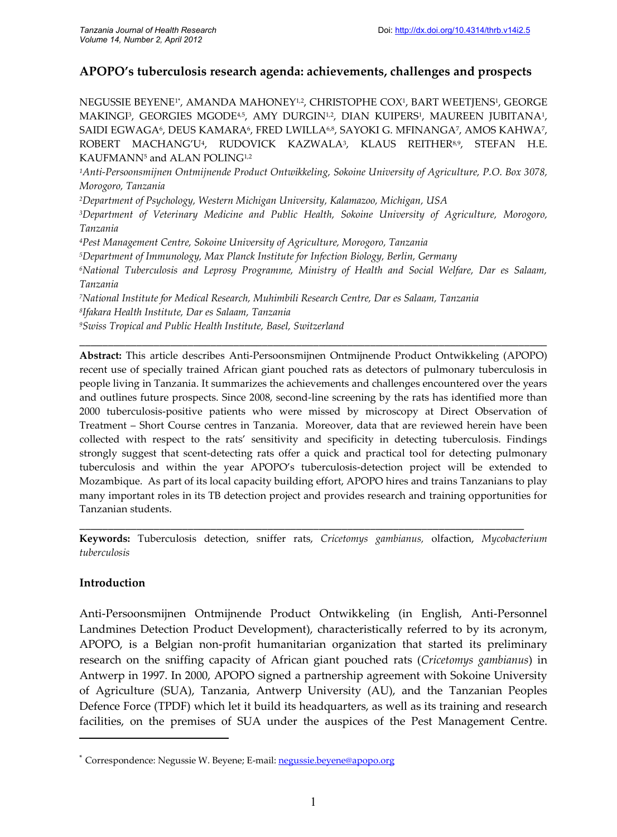# **APOPO's tuberculosis research agenda: achievements, challenges and prospects**

NEGUSSIE BEYENE1\*, AMANDA MAHONEY12, CHRISTOPHE COX1, BART WEETJENS1, GEORGE MAKINGI3, GEORGIES MGODE45, AMY DURGIN12, DIAN KUIPERS1, MAUREEN JUBITANA1, SAIDI EGWAGA', DEUS KAMARA', FRED LWILLA'<sup>8</sup>, SAYOKI G. MFINANGA', AMOS KAHWA', ROBERT MACHANGʻU<sup>4</sup>, RUDOVICK KAZWALA<sup>3</sup>, KLAUS REITHER<sup>8,9</sup>, STEFAN H.E. KAUFMANN<sup>5</sup> and ALAN POLING1,2

*<sup>1</sup>Anti-Persoonsmijnen Ontmijnende Product Ontwikkeling, Sokoine University of Agriculture, P.O. Box 3078, Morogoro, Tanzania*

*<sup>2</sup>Department of Psychology, Western Michigan University, Kalamazoo, Michigan, USA*

*<sup>3</sup>Department of Veterinary Medicine and Public Health, Sokoine University of Agriculture, Morogoro, Tanzania*

*<sup>4</sup>Pest Management Centre, Sokoine University of Agriculture, Morogoro, Tanzania*

*<sup>5</sup>Department of Immunology, Max Planck Institute for Infection Biology, Berlin, Germany*

*<sup>6</sup>National Tuberculosis and Leprosy Programme, Ministry of Health and Social Welfare, Dar es Salaam, Tanzania*

\_\_\_\_\_\_\_\_\_\_\_\_\_\_\_\_\_\_\_\_\_\_\_\_\_\_\_\_\_\_\_\_\_\_\_\_\_\_\_\_\_\_\_\_\_\_\_\_\_\_\_\_\_\_\_\_\_\_\_\_\_\_\_\_\_\_\_\_\_\_\_\_\_\_\_\_\_\_\_\_\_\_

*<sup>7</sup>National Institute for Medical Research, Muhimbili Research Centre, Dar es Salaam, Tanzania 8 Ifakara Health Institute, Dar es Salaam, Tanzania*

*<sup>9</sup>Swiss Tropical and Public Health Institute, Basel, Switzerland*

**Abstract:** This article describes Anti-Persoonsmijnen Ontmijnende Product Ontwikkeling (APOPO) recent use of specially trained African giant pouched rats as detectors of pulmonary tuberculosis in people living in Tanzania. It summarizes the achievements and challenges encountered over the years and outlines future prospects. Since 2008, second-line screening by the rats has identified more than 2000 tuberculosis-positive patients who were missed by microscopy at Direct Observation of Treatment – Short Course centres in Tanzania. Moreover, data that are reviewed herein have been collected with respect to the rats' sensitivity and specificity in detecting tuberculosis. Findings strongly suggest that scent-detecting rats offer a quick and practical tool for detecting pulmonary tuberculosis and within the year APOPO's tuberculosis-detection project will be extended to Mozambique. As part of its local capacity building effort, APOPO hires and trains Tanzanians to play many important roles in its TB detection project and provides research and training opportunities for Tanzanian students.

**Keywords:** Tuberculosis detection, sniffer rats, *Cricetomys gambianus,* olfaction, *Mycobacterium tuberculosis*

**\_\_\_\_\_\_\_\_\_\_\_\_\_\_\_\_\_\_\_\_\_\_\_\_\_\_\_\_\_\_\_\_\_\_\_\_\_\_\_\_\_\_\_\_\_\_\_\_\_\_\_\_\_\_\_\_\_\_\_\_\_\_\_\_\_\_\_\_\_\_\_\_\_\_\_\_\_\_**

# **Introduction**

Anti-Persoonsmijnen Ontmijnende Product Ontwikkeling (in English, Anti-Personnel Landmines Detection Product Development), characteristically referred to by its acronym, APOPO, is a Belgian non-profit humanitarian organization that started its preliminary research on the sniffing capacity of African giant pouched rats (*Cricetomys gambianus*) in Antwerp in 1997. In 2000, APOPO signed a partnership agreement with Sokoine University of Agriculture (SUA), Tanzania, Antwerp University (AU), and the Tanzanian Peoples Defence Force (TPDF) which let it build its headquarters, as well as its training and research facilities, on the premises of SUA under the auspices of the Pest Management Centre.

<sup>\*</sup> Correspondence: Negussie W. Beyene; E-mail: negussie.beyene@apopo.org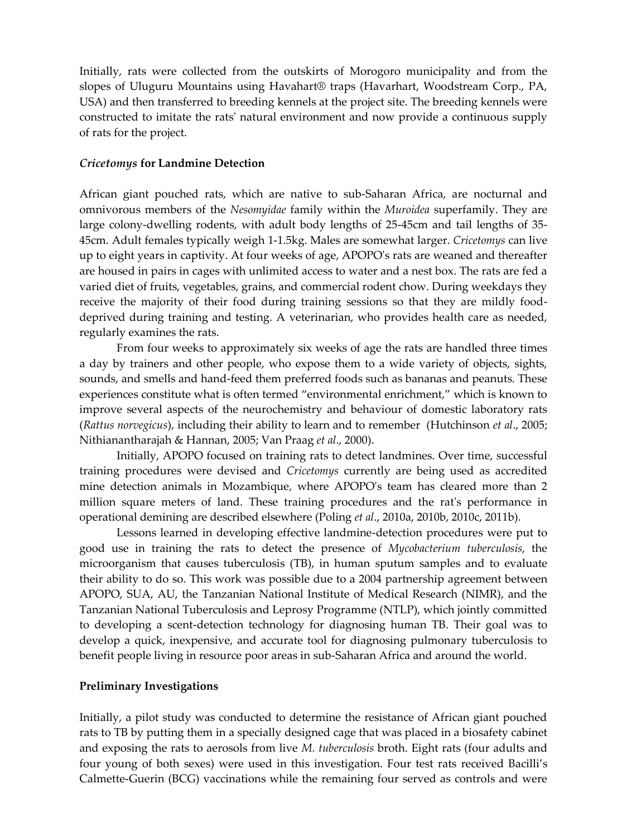Initially, rats were collected from the outskirts of Morogoro municipality and from the slopes of Uluguru Mountains using Havahart® traps (Havarhart, Woodstream Corp., PA, USA) and then transferred to breeding kennels at the project site. The breeding kennels were constructed to imitate the rats' natural environment and now provide a continuous supply of rats for the project.

# *Cricetomys* **for Landmine Detection**

African giant pouched rats, which are native to sub-Saharan Africa, are nocturnal and omnivorous members of the *Nesomyidae* family within the *Muroidea* superfamily. They are large colony-dwelling rodents, with adult body lengths of 25-45cm and tail lengths of 35- 45cm. Adult females typically weigh 1-1.5kg. Males are somewhat larger. *Cricetomys* can live up to eight years in captivity. At four weeks of age, APOPO's rats are weaned and thereafter are housed in pairs in cages with unlimited access to water and a nest box. The rats are fed a varied diet of fruits, vegetables, grains, and commercial rodent chow. During weekdays they receive the majority of their food during training sessions so that they are mildly fooddeprived during training and testing. A veterinarian, who provides health care as needed, regularly examines the rats.

From four weeks to approximately six weeks of age the rats are handled three times a day by trainers and other people, who expose them to a wide variety of objects, sights, sounds, and smells and hand-feed them preferred foods such as bananas and peanuts. These experiences constitute what is often termed "environmental enrichment," which is known to improve several aspects of the neurochemistry and behaviour of domestic laboratory rats (*Rattus norvegicus*), including their ability to learn and to remember (Hutchinson *et al*., 2005; Nithianantharajah & Hannan, 2005; Van Praag *et al*., 2000).

Initially, APOPO focused on training rats to detect landmines. Over time, successful training procedures were devised and *Cricetomys* currently are being used as accredited mine detection animals in Mozambique, where APOPO's team has cleared more than 2 million square meters of land. These training procedures and the rat's performance in operational demining are described elsewhere (Poling *et al*., 2010a, 2010b, 2010c, 2011b).

Lessons learned in developing effective landmine-detection procedures were put to good use in training the rats to detect the presence of *Mycobacterium tuberculosis*, the microorganism that causes tuberculosis (TB), in human sputum samples and to evaluate their ability to do so. This work was possible due to a 2004 partnership agreement between APOPO, SUA, AU, the Tanzanian National Institute of Medical Research (NIMR), and the Tanzanian National Tuberculosis and Leprosy Programme (NTLP), which jointly committed to developing a scent-detection technology for diagnosing human TB. Their goal was to develop a quick, inexpensive, and accurate tool for diagnosing pulmonary tuberculosis to benefit people living in resource poor areas in sub-Saharan Africa and around the world.

# **Preliminary Investigations**

Initially, a pilot study was conducted to determine the resistance of African giant pouched rats to TB by putting them in a specially designed cage that was placed in a biosafety cabinet and exposing the rats to aerosols from live *M. tuberculosis* broth. Eight rats (four adults and four young of both sexes) were used in this investigation. Four test rats received Bacilli's Calmette-Guerin (BCG) vaccinations while the remaining four served as controls and were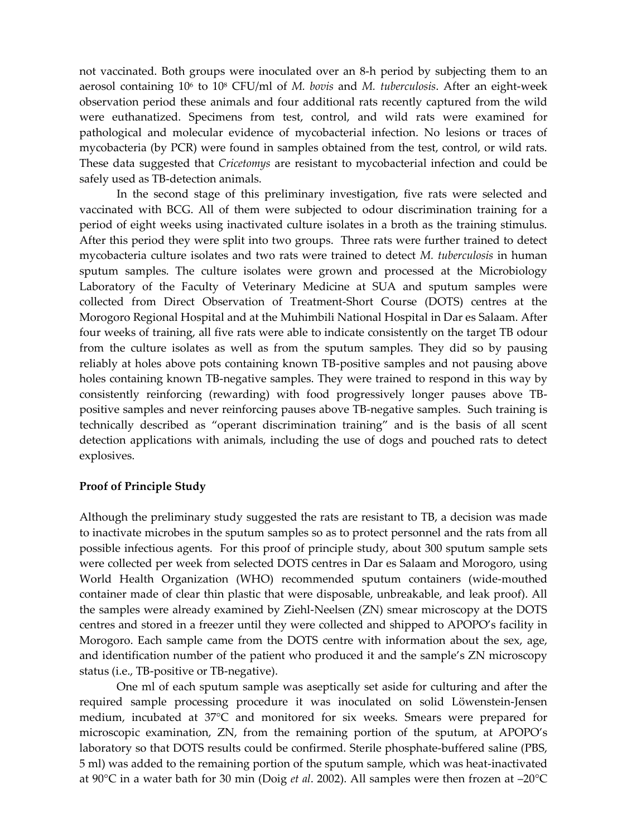not vaccinated. Both groups were inoculated over an 8-h period by subjecting them to an aerosol containing 10<sup>6</sup> to 10<sup>8</sup> CFU/ml of *M. bovis* and *M. tuberculosis*. After an eight-week observation period these animals and four additional rats recently captured from the wild were euthanatized. Specimens from test, control, and wild rats were examined for pathological and molecular evidence of mycobacterial infection. No lesions or traces of mycobacteria (by PCR) were found in samples obtained from the test, control, or wild rats. These data suggested that *Cricetomys* are resistant to mycobacterial infection and could be safely used as TB-detection animals.

In the second stage of this preliminary investigation, five rats were selected and vaccinated with BCG. All of them were subjected to odour discrimination training for a period of eight weeks using inactivated culture isolates in a broth as the training stimulus. After this period they were split into two groups. Three rats were further trained to detect mycobacteria culture isolates and two rats were trained to detect *M. tuberculosis* in human sputum samples. The culture isolates were grown and processed at the Microbiology Laboratory of the Faculty of Veterinary Medicine at SUA and sputum samples were collected from Direct Observation of Treatment-Short Course (DOTS) centres at the Morogoro Regional Hospital and at the Muhimbili National Hospital in Dar es Salaam. After four weeks of training, all five rats were able to indicate consistently on the target TB odour from the culture isolates as well as from the sputum samples. They did so by pausing reliably at holes above pots containing known TB-positive samples and not pausing above holes containing known TB-negative samples. They were trained to respond in this way by consistently reinforcing (rewarding) with food progressively longer pauses above TBpositive samples and never reinforcing pauses above TB-negative samples. Such training is technically described as "operant discrimination training" and is the basis of all scent detection applications with animals, including the use of dogs and pouched rats to detect explosives.

### **Proof of Principle Study**

Although the preliminary study suggested the rats are resistant to TB, a decision was made to inactivate microbes in the sputum samples so as to protect personnel and the rats from all possible infectious agents. For this proof of principle study, about 300 sputum sample sets were collected per week from selected DOTS centres in Dar es Salaam and Morogoro, using World Health Organization (WHO) recommended sputum containers (wide-mouthed container made of clear thin plastic that were disposable, unbreakable, and leak proof). All the samples were already examined by Ziehl-Neelsen (ZN) smear microscopy at the DOTS centres and stored in a freezer until they were collected and shipped to APOPO's facility in Morogoro. Each sample came from the DOTS centre with information about the sex, age, and identification number of the patient who produced it and the sample's ZN microscopy status (i.e., TB-positive or TB-negative).

One ml of each sputum sample was aseptically set aside for culturing and after the required sample processing procedure it was inoculated on solid Löwenstein-Jensen medium, incubated at 37°C and monitored for six weeks. Smears were prepared for microscopic examination, ZN, from the remaining portion of the sputum, at APOPO's laboratory so that DOTS results could be confirmed. Sterile phosphate-buffered saline (PBS, 5 ml) was added to the remaining portion of the sputum sample, which was heat-inactivated at 90°C in a water bath for 30 min (Doig *et al*. 2002). All samples were then frozen at –20°C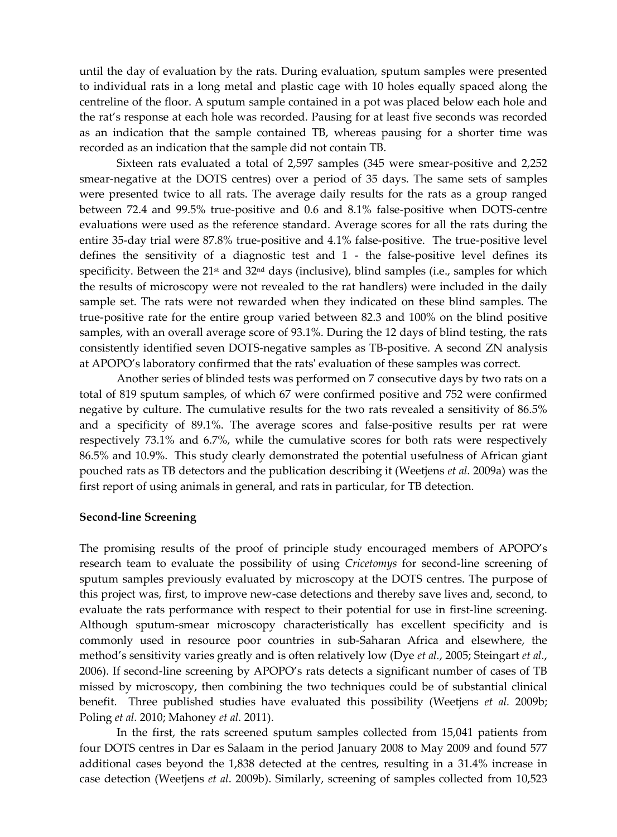until the day of evaluation by the rats. During evaluation, sputum samples were presented to individual rats in a long metal and plastic cage with 10 holes equally spaced along the centreline of the floor. A sputum sample contained in a pot was placed below each hole and the rat's response at each hole was recorded. Pausing for at least five seconds was recorded as an indication that the sample contained TB, whereas pausing for a shorter time was recorded as an indication that the sample did not contain TB.

Sixteen rats evaluated a total of 2,597 samples (345 were smear-positive and 2,252 smear-negative at the DOTS centres) over a period of 35 days. The same sets of samples were presented twice to all rats. The average daily results for the rats as a group ranged between 72.4 and 99.5% true-positive and 0.6 and 8.1% false-positive when DOTS-centre evaluations were used as the reference standard. Average scores for all the rats during the entire 35-day trial were 87.8% true-positive and 4.1% false-positive. The true-positive level defines the sensitivity of a diagnostic test and 1 - the false-positive level defines its specificity. Between the  $21^{st}$  and  $32^{nd}$  days (inclusive), blind samples (i.e., samples for which the results of microscopy were not revealed to the rat handlers) were included in the daily sample set. The rats were not rewarded when they indicated on these blind samples. The true-positive rate for the entire group varied between 82.3 and 100% on the blind positive samples, with an overall average score of 93.1%. During the 12 days of blind testing, the rats consistently identified seven DOTS-negative samples as TB-positive. A second ZN analysis at APOPO's laboratory confirmed that the rats' evaluation of these samples was correct.

Another series of blinded tests was performed on 7 consecutive days by two rats on a total of 819 sputum samples, of which 67 were confirmed positive and 752 were confirmed negative by culture. The cumulative results for the two rats revealed a sensitivity of 86.5% and a specificity of 89.1%. The average scores and false-positive results per rat were respectively 73.1% and 6.7%, while the cumulative scores for both rats were respectively 86.5% and 10.9%. This study clearly demonstrated the potential usefulness of African giant pouched rats as TB detectors and the publication describing it (Weetjens *et al.* 2009a) was the first report of using animals in general, and rats in particular, for TB detection.

#### **Second-line Screening**

The promising results of the proof of principle study encouraged members of APOPO's research team to evaluate the possibility of using *Cricetomys* for second-line screening of sputum samples previously evaluated by microscopy at the DOTS centres. The purpose of this project was, first, to improve new-case detections and thereby save lives and, second, to evaluate the rats performance with respect to their potential for use in first-line screening. Although sputum-smear microscopy characteristically has excellent specificity and is commonly used in resource poor countries in sub-Saharan Africa and elsewhere, the method's sensitivity varies greatly and is often relatively low (Dye *et al.*, 2005; Steingart *et al.*, 2006). If second-line screening by APOPO's rats detects a significant number of cases of TB missed by microscopy, then combining the two techniques could be of substantial clinical benefit. Three published studies have evaluated this possibility (Weetjens *et al.* 2009b; Poling *et al.* 2010; Mahoney *et al.* 2011).

In the first, the rats screened sputum samples collected from 15,041 patients from four DOTS centres in Dar es Salaam in the period January 2008 to May 2009 and found 577 additional cases beyond the 1,838 detected at the centres, resulting in a 31.4% increase in case detection (Weetjens *et al*. 2009b). Similarly, screening of samples collected from 10,523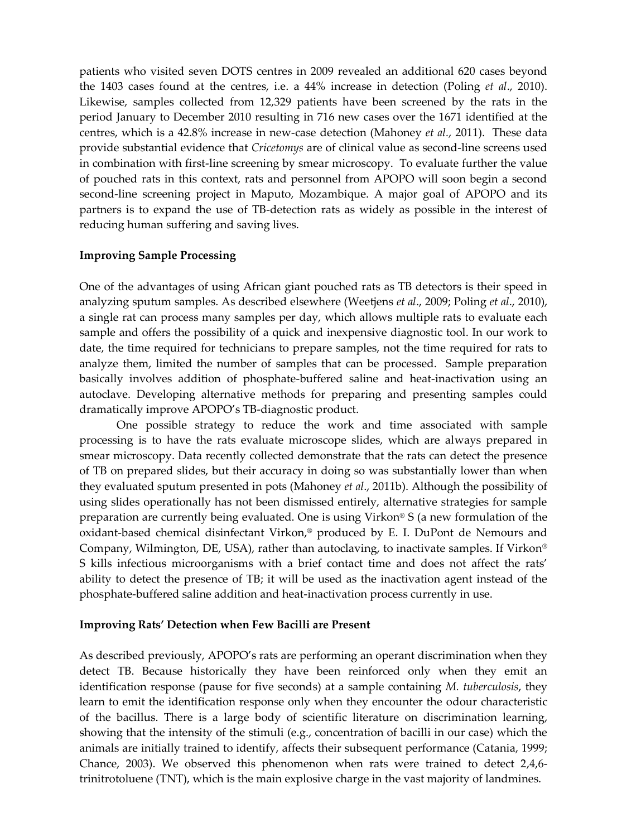patients who visited seven DOTS centres in 2009 revealed an additional 620 cases beyond the 1403 cases found at the centres, i.e. a 44% increase in detection (Poling *et al*., 2010). Likewise, samples collected from 12,329 patients have been screened by the rats in the period January to December 2010 resulting in 716 new cases over the 1671 identified at the centres, which is a 42.8% increase in new-case detection (Mahoney *et al.*, 2011). These data provide substantial evidence that *Cricetomys* are of clinical value as second-line screens used in combination with first-line screening by smear microscopy. To evaluate further the value of pouched rats in this context, rats and personnel from APOPO will soon begin a second second-line screening project in Maputo, Mozambique. A major goal of APOPO and its partners is to expand the use of TB-detection rats as widely as possible in the interest of reducing human suffering and saving lives.

# **Improving Sample Processing**

One of the advantages of using African giant pouched rats as TB detectors is their speed in analyzing sputum samples. As described elsewhere (Weetjens *et al*., 2009; Poling *et al*., 2010), a single rat can process many samples per day, which allows multiple rats to evaluate each sample and offers the possibility of a quick and inexpensive diagnostic tool. In our work to date, the time required for technicians to prepare samples, not the time required for rats to analyze them, limited the number of samples that can be processed. Sample preparation basically involves addition of phosphate-buffered saline and heat-inactivation using an autoclave. Developing alternative methods for preparing and presenting samples could dramatically improve APOPO's TB-diagnostic product.

One possible strategy to reduce the work and time associated with sample processing is to have the rats evaluate microscope slides, which are always prepared in smear microscopy. Data recently collected demonstrate that the rats can detect the presence of TB on prepared slides, but their accuracy in doing so was substantially lower than when they evaluated sputum presented in pots (Mahoney *et al*., 2011b). Although the possibility of using slides operationally has not been dismissed entirely, alternative strategies for sample preparation are currently being evaluated. One is using Virkon® S (a new formulation of the oxidant-based chemical disinfectant Virkon,® produced by E. I. DuPont de Nemours and Company, Wilmington, DE, USA), rather than autoclaving, to inactivate samples. If Virkon<sup>®</sup> S kills infectious microorganisms with a brief contact time and does not affect the rats' ability to detect the presence of TB; it will be used as the inactivation agent instead of the phosphate-buffered saline addition and heat-inactivation process currently in use.

# **Improving Rats' Detection when Few Bacilli are Present**

As described previously, APOPO's rats are performing an operant discrimination when they detect TB. Because historically they have been reinforced only when they emit an identification response (pause for five seconds) at a sample containing *M. tuberculosis*, they learn to emit the identification response only when they encounter the odour characteristic of the bacillus. There is a large body of scientific literature on discrimination learning, showing that the intensity of the stimuli (e.g., concentration of bacilli in our case) which the animals are initially trained to identify, affects their subsequent performance (Catania, 1999; Chance, 2003). We observed this phenomenon when rats were trained to detect 2,4,6 trinitrotoluene (TNT), which is the main explosive charge in the vast majority of landmines.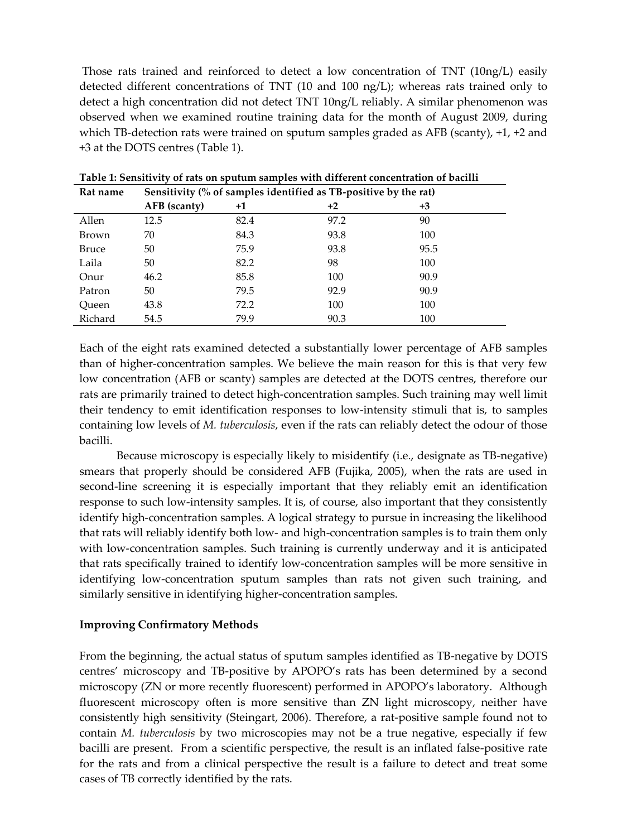Those rats trained and reinforced to detect a low concentration of TNT (10ng/L) easily detected different concentrations of TNT (10 and 100 ng/L); whereas rats trained only to detect a high concentration did not detect TNT 10ng/L reliably. A similar phenomenon was observed when we examined routine training data for the month of August 2009, during which TB-detection rats were trained on sputum samples graded as AFB (scanty), +1, +2 and +3 at the DOTS centres (Table 1).

| Rat name     | Sensitivity (% of samples identified as TB-positive by the rat) |      |      |      |  |
|--------------|-----------------------------------------------------------------|------|------|------|--|
|              | AFB (scanty)                                                    | $+1$ | $+2$ | $+3$ |  |
| Allen        | 12.5                                                            | 82.4 | 97.2 | 90   |  |
| Brown        | 70                                                              | 84.3 | 93.8 | 100  |  |
| <b>Bruce</b> | 50                                                              | 75.9 | 93.8 | 95.5 |  |
| Laila        | 50                                                              | 82.2 | 98   | 100  |  |
| Onur         | 46.2                                                            | 85.8 | 100  | 90.9 |  |
| Patron       | 50                                                              | 79.5 | 92.9 | 90.9 |  |
| Oueen        | 43.8                                                            | 72.2 | 100  | 100  |  |
| Richard      | 54.5                                                            | 79.9 | 90.3 | 100  |  |

**Table 1: Sensitivity of rats on sputum samples with different concentration of bacilli**

Each of the eight rats examined detected a substantially lower percentage of AFB samples than of higher-concentration samples. We believe the main reason for this is that very few low concentration (AFB or scanty) samples are detected at the DOTS centres, therefore our rats are primarily trained to detect high-concentration samples. Such training may well limit their tendency to emit identification responses to low-intensity stimuli that is, to samples containing low levels of *M. tuberculosis*, even if the rats can reliably detect the odour of those bacilli.

Because microscopy is especially likely to misidentify (i.e., designate as TB-negative) smears that properly should be considered AFB (Fujika, 2005), when the rats are used in second-line screening it is especially important that they reliably emit an identification response to such low-intensity samples. It is, of course, also important that they consistently identify high-concentration samples. A logical strategy to pursue in increasing the likelihood that rats will reliably identify both low- and high-concentration samples is to train them only with low-concentration samples. Such training is currently underway and it is anticipated that rats specifically trained to identify low-concentration samples will be more sensitive in identifying low-concentration sputum samples than rats not given such training, and similarly sensitive in identifying higher-concentration samples.

# **Improving Confirmatory Methods**

From the beginning, the actual status of sputum samples identified as TB-negative by DOTS centres' microscopy and TB-positive by APOPO's rats has been determined by a second microscopy (ZN or more recently fluorescent) performed in APOPO's laboratory. Although fluorescent microscopy often is more sensitive than ZN light microscopy, neither have consistently high sensitivity (Steingart, 2006). Therefore, a rat-positive sample found not to contain *M. tuberculosis* by two microscopies may not be a true negative, especially if few bacilli are present. From a scientific perspective, the result is an inflated false-positive rate for the rats and from a clinical perspective the result is a failure to detect and treat some cases of TB correctly identified by the rats.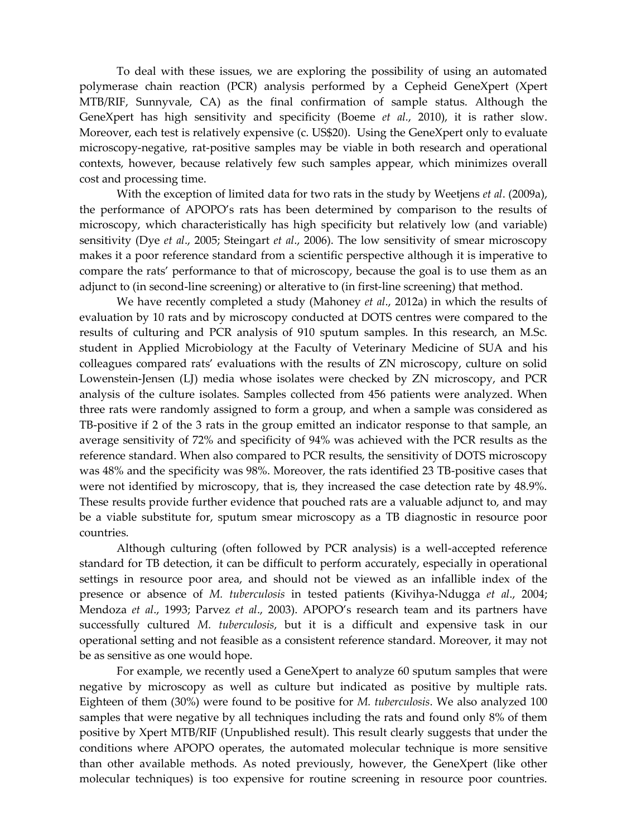To deal with these issues, we are exploring the possibility of using an automated polymerase chain reaction (PCR) analysis performed by a Cepheid GeneXpert (Xpert MTB/RIF, Sunnyvale, CA) as the final confirmation of sample status. Although the GeneXpert has high sensitivity and specificity (Boeme *et al.*, 2010), it is rather slow. Moreover, each test is relatively expensive (c. US\$20). Using the GeneXpert only to evaluate microscopy-negative, rat-positive samples may be viable in both research and operational contexts, however, because relatively few such samples appear, which minimizes overall cost and processing time.

With the exception of limited data for two rats in the study by Weetjens *et al*. (2009a), the performance of APOPO's rats has been determined by comparison to the results of microscopy, which characteristically has high specificity but relatively low (and variable) sensitivity (Dye *et al*., 2005; Steingart *et al*., 2006). The low sensitivity of smear microscopy makes it a poor reference standard from a scientific perspective although it is imperative to compare the rats' performance to that of microscopy, because the goal is to use them as an adjunct to (in second-line screening) or alterative to (in first-line screening) that method.

We have recently completed a study (Mahoney *et al*., 2012a) in which the results of evaluation by 10 rats and by microscopy conducted at DOTS centres were compared to the results of culturing and PCR analysis of 910 sputum samples. In this research, an M.Sc. student in Applied Microbiology at the Faculty of Veterinary Medicine of SUA and his colleagues compared rats' evaluations with the results of ZN microscopy, culture on solid Lowenstein-Jensen (LJ) media whose isolates were checked by ZN microscopy, and PCR analysis of the culture isolates. Samples collected from 456 patients were analyzed. When three rats were randomly assigned to form a group, and when a sample was considered as TB-positive if 2 of the 3 rats in the group emitted an indicator response to that sample, an average sensitivity of 72% and specificity of 94% was achieved with the PCR results as the reference standard. When also compared to PCR results, the sensitivity of DOTS microscopy was 48% and the specificity was 98%. Moreover, the rats identified 23 TB-positive cases that were not identified by microscopy, that is, they increased the case detection rate by 48.9%. These results provide further evidence that pouched rats are a valuable adjunct to, and may be a viable substitute for, sputum smear microscopy as a TB diagnostic in resource poor countries.

Although culturing (often followed by PCR analysis) is a well-accepted reference standard for TB detection, it can be difficult to perform accurately, especially in operational settings in resource poor area, and should not be viewed as an infallible index of the presence or absence of *M. tuberculosis* in tested patients (Kivihya-Ndugga *et al*., 2004; Mendoza *et al*., 1993; Parvez *et al*., 2003). APOPO's research team and its partners have successfully cultured *M. tuberculosis*, but it is a difficult and expensive task in our operational setting and not feasible as a consistent reference standard. Moreover, it may not be as sensitive as one would hope.

For example, we recently used a GeneXpert to analyze 60 sputum samples that were negative by microscopy as well as culture but indicated as positive by multiple rats. Eighteen of them (30%) were found to be positive for *M. tuberculosis*. We also analyzed 100 samples that were negative by all techniques including the rats and found only 8% of them positive by Xpert MTB/RIF (Unpublished result). This result clearly suggests that under the conditions where APOPO operates, the automated molecular technique is more sensitive than other available methods. As noted previously, however, the GeneXpert (like other molecular techniques) is too expensive for routine screening in resource poor countries.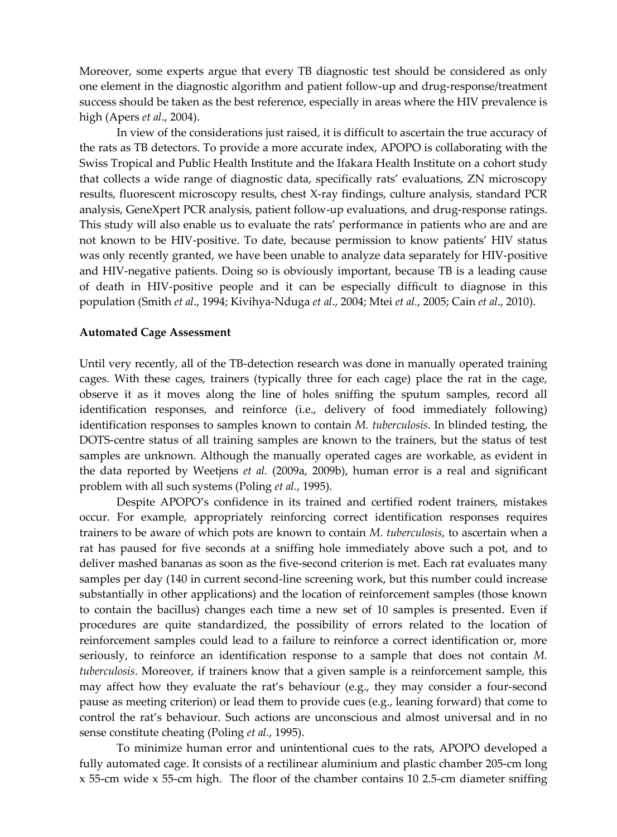Moreover, some experts argue that every TB diagnostic test should be considered as only one element in the diagnostic algorithm and patient follow-up and drug-response/treatment success should be taken as the best reference, especially in areas where the HIV prevalence is high (Apers *et al*., 2004).

In view of the considerations just raised, it is difficult to ascertain the true accuracy of the rats as TB detectors. To provide a more accurate index, APOPO is collaborating with the Swiss Tropical and Public Health Institute and the Ifakara Health Institute on a cohort study that collects a wide range of diagnostic data, specifically rats' evaluations, ZN microscopy results, fluorescent microscopy results, chest X-ray findings, culture analysis, standard PCR analysis, GeneXpert PCR analysis, patient follow-up evaluations, and drug-response ratings. This study will also enable us to evaluate the rats' performance in patients who are and are not known to be HIV-positive. To date, because permission to know patients' HIV status was only recently granted, we have been unable to analyze data separately for HIV-positive and HIV-negative patients. Doing so is obviously important, because TB is a leading cause of death in HIV-positive people and it can be especially difficult to diagnose in this population (Smith *et al*., 1994; Kivihya-Nduga *et al*., 2004; Mtei *et al.*, 2005; Cain *et al*., 2010).

#### **Automated Cage Assessment**

Until very recently, all of the TB-detection research was done in manually operated training cages. With these cages, trainers (typically three for each cage) place the rat in the cage, observe it as it moves along the line of holes sniffing the sputum samples, record all identification responses, and reinforce (i.e., delivery of food immediately following) identification responses to samples known to contain *M. tuberculosis*. In blinded testing, the DOTS-centre status of all training samples are known to the trainers, but the status of test samples are unknown. Although the manually operated cages are workable, as evident in the data reported by Weetjens *et al.* (2009a, 2009b), human error is a real and significant problem with all such systems (Poling *et al.*, 1995).

Despite APOPO's confidence in its trained and certified rodent trainers, mistakes occur. For example, appropriately reinforcing correct identification responses requires trainers to be aware of which pots are known to contain *M. tuberculosis*, to ascertain when a rat has paused for five seconds at a sniffing hole immediately above such a pot, and to deliver mashed bananas as soon as the five-second criterion is met. Each rat evaluates many samples per day (140 in current second-line screening work, but this number could increase substantially in other applications) and the location of reinforcement samples (those known to contain the bacillus) changes each time a new set of 10 samples is presented. Even if procedures are quite standardized, the possibility of errors related to the location of reinforcement samples could lead to a failure to reinforce a correct identification or, more seriously, to reinforce an identification response to a sample that does not contain *M. tuberculosis*. Moreover, if trainers know that a given sample is a reinforcement sample, this may affect how they evaluate the rat's behaviour (e.g., they may consider a four-second pause as meeting criterion) or lead them to provide cues (e.g., leaning forward) that come to control the rat's behaviour. Such actions are unconscious and almost universal and in no sense constitute cheating (Poling *et al.*, 1995).

To minimize human error and unintentional cues to the rats, APOPO developed a fully automated cage. It consists of a rectilinear aluminium and plastic chamber 205-cm long x 55-cm wide x 55-cm high. The floor of the chamber contains 10 2.5-cm diameter sniffing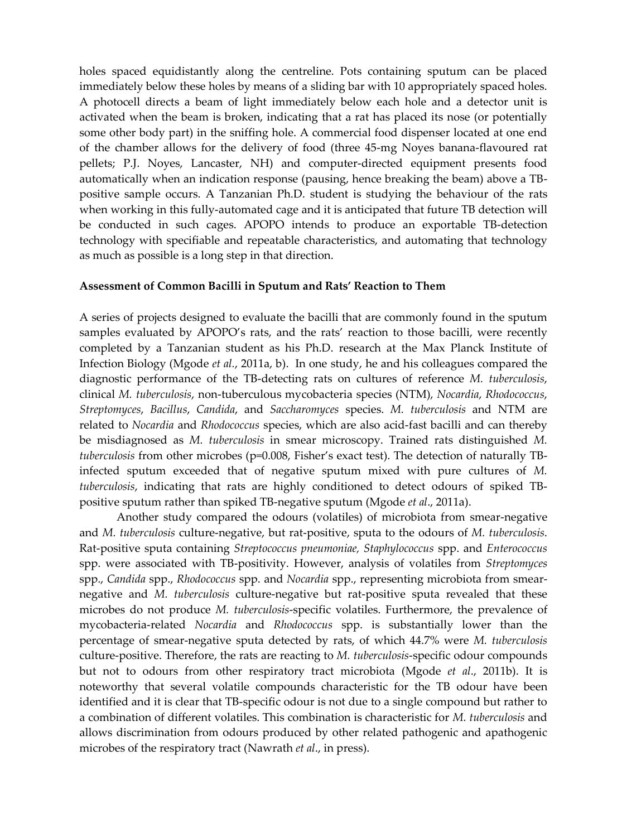holes spaced equidistantly along the centreline. Pots containing sputum can be placed immediately below these holes by means of a sliding bar with 10 appropriately spaced holes. A photocell directs a beam of light immediately below each hole and a detector unit is activated when the beam is broken, indicating that a rat has placed its nose (or potentially some other body part) in the sniffing hole. A commercial food dispenser located at one end of the chamber allows for the delivery of food (three 45-mg Noyes banana-flavoured rat pellets; P.J. Noyes, Lancaster, NH) and computer-directed equipment presents food automatically when an indication response (pausing, hence breaking the beam) above a TBpositive sample occurs. A Tanzanian Ph.D. student is studying the behaviour of the rats when working in this fully-automated cage and it is anticipated that future TB detection will be conducted in such cages. APOPO intends to produce an exportable TB-detection technology with specifiable and repeatable characteristics, and automating that technology as much as possible is a long step in that direction.

#### **Assessment of Common Bacilli in Sputum and Rats' Reaction to Them**

A series of projects designed to evaluate the bacilli that are commonly found in the sputum samples evaluated by APOPO's rats, and the rats' reaction to those bacilli, were recently completed by a Tanzanian student as his Ph.D. research at the Max Planck Institute of Infection Biology (Mgode *et al.*, 2011a, b). In one study, he and his colleagues compared the diagnostic performance of the TB-detecting rats on cultures of reference *M. tuberculosis*, clinical *M. tuberculosis*, non-tuberculous mycobacteria species (NTM), *Nocardia*, *Rhodococcus*, *Streptomyces*, *Bacillus*, *Candida*, and *Saccharomyces* species. *M. tuberculosis* and NTM are related to *Nocardia* and *Rhodococcus* species, which are also acid-fast bacilli and can thereby be misdiagnosed as *M. tuberculosis* in smear microscopy. Trained rats distinguished *M. tuberculosis* from other microbes (p=0.008, Fisher's exact test). The detection of naturally TBinfected sputum exceeded that of negative sputum mixed with pure cultures of *M. tuberculosis*, indicating that rats are highly conditioned to detect odours of spiked TBpositive sputum rather than spiked TB-negative sputum (Mgode *et al*., 2011a).

Another study compared the odours (volatiles) of microbiota from smear-negative and *M. tuberculosis* culture-negative, but rat-positive, sputa to the odours of *M. tuberculosis*. Rat-positive sputa containing *Streptococcus pneumoniae, Staphylococcus* spp. and *Enterococcus* spp. were associated with TB-positivity. However, analysis of volatiles from *Streptomyces* spp., *Candida* spp., *Rhodococcus* spp. and *Nocardia* spp., representing microbiota from smearnegative and *M. tuberculosis* culture-negative but rat-positive sputa revealed that these microbes do not produce *M. tuberculosis*-specific volatiles. Furthermore, the prevalence of mycobacteria-related *Nocardia* and *Rhodococcus* spp. is substantially lower than the percentage of smear-negative sputa detected by rats, of which 44.7% were *M. tuberculosis* culture-positive. Therefore, the rats are reacting to *M. tuberculosis*-specific odour compounds but not to odours from other respiratory tract microbiota (Mgode *et al*., 2011b). It is noteworthy that several volatile compounds characteristic for the TB odour have been identified and it is clear that TB-specific odour is not due to a single compound but rather to a combination of different volatiles. This combination is characteristic for *M. tuberculosis* and allows discrimination from odours produced by other related pathogenic and apathogenic microbes of the respiratory tract (Nawrath *et al*., in press).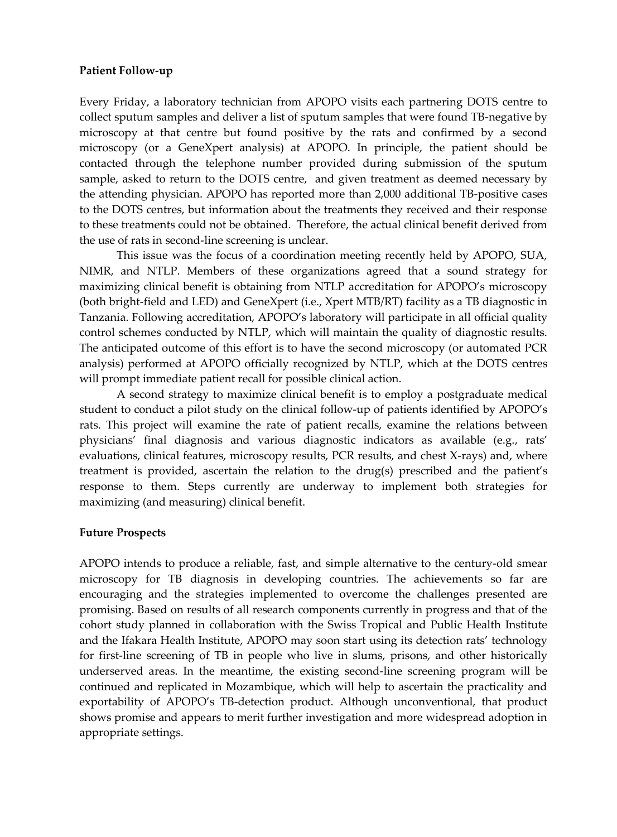# **Patient Follow-up**

Every Friday, a laboratory technician from APOPO visits each partnering DOTS centre to collect sputum samples and deliver a list of sputum samples that were found TB-negative by microscopy at that centre but found positive by the rats and confirmed by a second microscopy (or a GeneXpert analysis) at APOPO. In principle, the patient should be contacted through the telephone number provided during submission of the sputum sample, asked to return to the DOTS centre, and given treatment as deemed necessary by the attending physician. APOPO has reported more than 2,000 additional TB-positive cases to the DOTS centres, but information about the treatments they received and their response to these treatments could not be obtained. Therefore, the actual clinical benefit derived from the use of rats in second-line screening is unclear.

This issue was the focus of a coordination meeting recently held by APOPO, SUA, NIMR, and NTLP. Members of these organizations agreed that a sound strategy for maximizing clinical benefit is obtaining from NTLP accreditation for APOPO's microscopy (both bright-field and LED) and GeneXpert (i.e., Xpert MTB/RT) facility as a TB diagnostic in Tanzania. Following accreditation, APOPO's laboratory will participate in all official quality control schemes conducted by NTLP, which will maintain the quality of diagnostic results. The anticipated outcome of this effort is to have the second microscopy (or automated PCR analysis) performed at APOPO officially recognized by NTLP, which at the DOTS centres will prompt immediate patient recall for possible clinical action.

A second strategy to maximize clinical benefit is to employ a postgraduate medical student to conduct a pilot study on the clinical follow-up of patients identified by APOPO's rats. This project will examine the rate of patient recalls, examine the relations between physicians' final diagnosis and various diagnostic indicators as available (e.g., rats' evaluations, clinical features, microscopy results, PCR results, and chest X-rays) and, where treatment is provided, ascertain the relation to the drug(s) prescribed and the patient's response to them. Steps currently are underway to implement both strategies for maximizing (and measuring) clinical benefit.

# **Future Prospects**

APOPO intends to produce a reliable, fast, and simple alternative to the century-old smear microscopy for TB diagnosis in developing countries. The achievements so far are encouraging and the strategies implemented to overcome the challenges presented are promising. Based on results of all research components currently in progress and that of the cohort study planned in collaboration with the Swiss Tropical and Public Health Institute and the Ifakara Health Institute, APOPO may soon start using its detection rats' technology for first-line screening of TB in people who live in slums, prisons, and other historically underserved areas. In the meantime, the existing second-line screening program will be continued and replicated in Mozambique, which will help to ascertain the practicality and exportability of APOPO's TB-detection product. Although unconventional, that product shows promise and appears to merit further investigation and more widespread adoption in appropriate settings.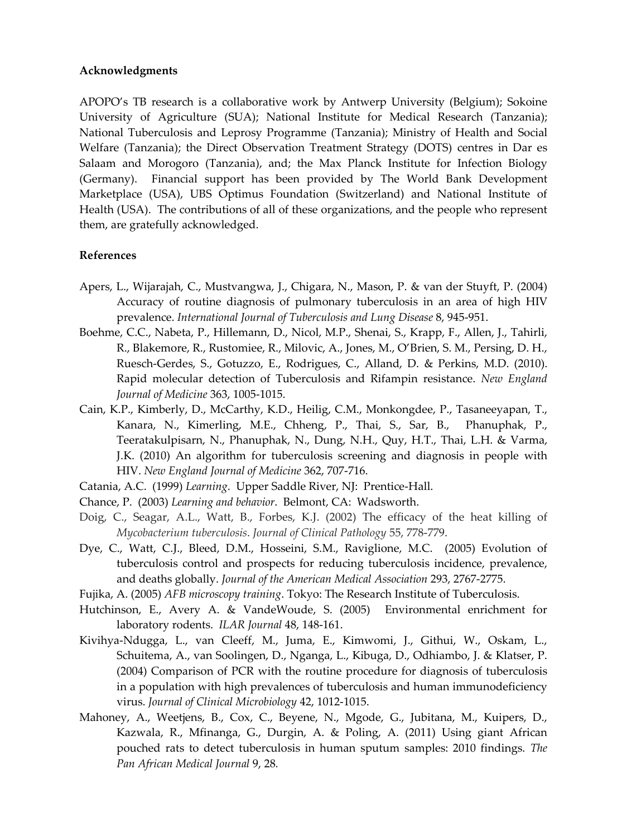# **Acknowledgments**

APOPO's TB research is a collaborative work by Antwerp University (Belgium); Sokoine University of Agriculture (SUA); National Institute for Medical Research (Tanzania); National Tuberculosis and Leprosy Programme (Tanzania); Ministry of Health and Social Welfare (Tanzania); the Direct Observation Treatment Strategy (DOTS) centres in Dar es Salaam and Morogoro (Tanzania), and; the Max Planck Institute for Infection Biology (Germany). Financial support has been provided by The World Bank Development Marketplace (USA), UBS Optimus Foundation (Switzerland) and National Institute of Health (USA). The contributions of all of these organizations, and the people who represent them, are gratefully acknowledged.

# **References**

- Apers, L., Wijarajah, C., Mustvangwa, J., Chigara, N., Mason, P. & van der Stuyft, P. (2004) Accuracy of routine diagnosis of pulmonary tuberculosis in an area of high HIV prevalence. *International Journal of Tuberculosis and Lung Disease* 8, 945-951.
- Boehme, C.C., Nabeta, P., Hillemann, D., Nicol, M.P., Shenai, S., Krapp, F., Allen, J., Tahirli, R., Blakemore, R., Rustomiee, R., Milovic, A., Jones, M., O'Brien, S. M., Persing, D. H., Ruesch-Gerdes, S., Gotuzzo, E., Rodrigues, C., Alland, D. & Perkins, M.D. (2010). Rapid molecular detection of Tuberculosis and Rifampin resistance. *New England Journal of Medicine* 363, 1005-1015.
- Cain, K.P., Kimberly, D., McCarthy, K.D., Heilig, C.M., Monkongdee, P., Tasaneeyapan, T., Kanara, N., Kimerling, M.E., Chheng, P., Thai, S., Sar, B., Phanuphak, P., Teeratakulpisarn, N., Phanuphak, N., Dung, N.H., Quy, H.T., Thai, L.H. & Varma, J.K. (2010) An algorithm for tuberculosis screening and diagnosis in people with HIV. *New England Journal of Medicine* 362, 707-716.
- Catania, A.C. (1999) *Learning*. Upper Saddle River, NJ: Prentice-Hall.
- Chance, P. (2003) *Learning and behavior*. Belmont, CA: Wadsworth.
- Doig, C., Seagar, A.L., Watt, B., Forbes, K.J. (2002) The efficacy of the heat killing of *Mycobacterium tuberculosis*. *Journal of Clinical Pathology* 55, 778-779.
- Dye, C., Watt, C.J., Bleed, D.M., Hosseini, S.M., Raviglione, M.C. (2005) Evolution of tuberculosis control and prospects for reducing tuberculosis incidence, prevalence, and deaths globally. *Journal of the American Medical Association* 293, 2767-2775.
- Fujika, A. (2005) *AFB microscopy training*. Tokyo: The Research Institute of Tuberculosis.
- Hutchinson, E., Avery A. & VandeWoude, S. (2005) Environmental enrichment for laboratory rodents. *ILAR Journal* 48, 148-161.
- Kivihya-Ndugga, L., van Cleeff, M., Juma, E., Kimwomi, J., Githui, W., Oskam, L., Schuitema, A., van Soolingen, D., Nganga, L., Kibuga, D., Odhiambo, J. & Klatser, P. (2004) Comparison of PCR with the routine procedure for diagnosis of tuberculosis in a population with high prevalences of tuberculosis and human immunodeficiency virus. *Journal of Clinical Microbiology* 42, 1012-1015.
- Mahoney, A., Weetjens, B., Cox, C., Beyene, N., Mgode, G., Jubitana, M., Kuipers, D., Kazwala, R., Mfinanga, G., Durgin, A. & Poling, A. (2011) Using giant African pouched rats to detect tuberculosis in human sputum samples: 2010 findings. *The Pan African Medical Journal* 9, 28*.*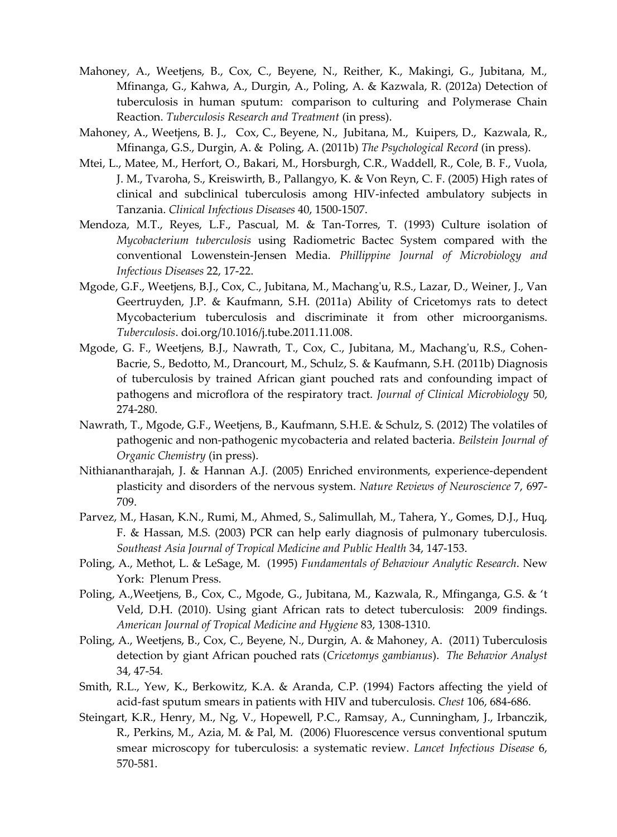- Mahoney, A., Weetjens, B., Cox, C., Beyene, N., Reither, K., Makingi, G., Jubitana, M., Mfinanga, G., Kahwa, A., Durgin, A., Poling, A. & Kazwala, R. (2012a) Detection of tuberculosis in human sputum: comparison to culturing and Polymerase Chain Reaction. *Tuberculosis Research and Treatment* (in press).
- Mahoney, A., Weetjens, B. J., Cox, C., Beyene, N., Jubitana, M., Kuipers, D., Kazwala, R., Mfinanga, G.S., Durgin, A. & Poling, A. (2011b) *The Psychological Record* (in press).
- Mtei, L., Matee, M., Herfort, O., Bakari, M., Horsburgh, C.R., Waddell, R., Cole, B. F., Vuola, J. M., Tvaroha, S., Kreiswirth, B., Pallangyo, K. & Von Reyn, C. F. (2005) High rates of clinical and subclinical tuberculosis among HIV-infected ambulatory subjects in Tanzania. *Clinical Infectious Diseases* 40, 1500-1507.
- Mendoza, M.T., Reyes, L.F., Pascual, M. & Tan-Torres, T. (1993) Culture isolation of *Mycobacterium tuberculosis* using Radiometric Bactec System compared with the conventional Lowenstein-Jensen Media. *Phillippine Journal of Microbiology and Infectious Diseases* 22, 17-22.
- Mgode, G.F., Weetjens, B.J., Cox, C., Jubitana, M., Machang'u, R.S., Lazar, D., Weiner, J., Van Geertruyden, J.P. & Kaufmann, S.H. (2011a) Ability of Cricetomys rats to detect Mycobacterium tuberculosis and discriminate it from other microorganisms. *Tuberculosis*. doi.org/10.1016/j.tube.2011.11.008.
- Mgode, G. F., Weetjens, B.J., Nawrath, T., Cox, C., Jubitana, M., Machang'u, R.S., Cohen-Bacrie, S., Bedotto, M., Drancourt, M., Schulz, S. & Kaufmann, S.H. (2011b) Diagnosis of tuberculosis by trained African giant pouched rats and confounding impact of pathogens and microflora of the respiratory tract. *Journal of Clinical Microbiology* 50, 274-280.
- Nawrath, T., Mgode, G.F., Weetjens, B., Kaufmann, S.H.E. & Schulz, S. (2012) The volatiles of pathogenic and non-pathogenic mycobacteria and related bacteria. *Beilstein Journal of Organic Chemistry* (in press).
- Nithianantharajah, J. & Hannan A.J. (2005) Enriched environments, experience-dependent plasticity and disorders of the nervous system. *Nature Reviews of Neuroscience* 7, 697- 709.
- Parvez, M., Hasan, K.N., Rumi, M., Ahmed, S., Salimullah, M., Tahera, Y., Gomes, D.J., Huq, F. & Hassan, M.S. (2003) PCR can help early diagnosis of pulmonary tuberculosis. *Southeast Asia Journal of Tropical Medicine and Public Health* 34, 147-153.
- Poling, A., Methot, L. & LeSage, M. (1995) *Fundamentals of Behaviour Analytic Research*. New York: Plenum Press.
- Poling, A.,Weetjens, B., Cox, C., Mgode, G., Jubitana, M., Kazwala, R., Mfinganga, G.S. & 't Veld, D.H. (2010). Using giant African rats to detect tuberculosis: 2009 findings. *American Journal of Tropical Medicine and Hygiene* 83, 1308-1310.
- Poling, A., Weetjens, B., Cox, C., Beyene, N., Durgin, A. & Mahoney, A. (2011) Tuberculosis detection by giant African pouched rats (*Cricetomys gambianus*). *The Behavior Analyst* 34, 47-54*.*
- Smith, R.L., Yew, K., Berkowitz, K.A. & Aranda, C.P. (1994) Factors affecting the yield of acid-fast sputum smears in patients with HIV and tuberculosis. *Chest* 106, 684-686.
- Steingart, K.R., Henry, M., Ng, V., Hopewell, P.C., Ramsay, A., Cunningham, J., Irbanczik, R., Perkins, M., Azia, M. & Pal, M. (2006) Fluorescence versus conventional sputum smear microscopy for tuberculosis: a systematic review. *Lancet Infectious Disease* 6, 570-581.